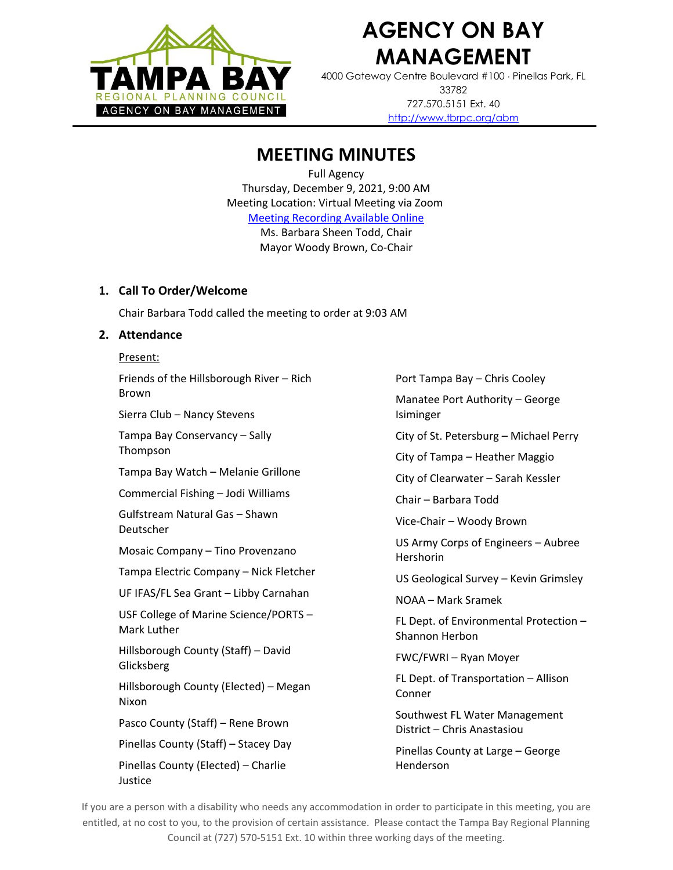

# **AGENCY ON BAY MANAGEMENT**

4000 Gateway Centre Boulevard #100 Pinellas Park, FL 33782 727.570.5151 Ext. 40 <http://www.tbrpc.org/abm>

# **MEETING MINUTES**

Full Agency Thursday, December 9, 2021, 9:00 AM Meeting Location: Virtual Meeting via Zoom [Meeting Recording Available Online](https://youtu.be/1dMLRAuO9sk) Ms. Barbara Sheen Todd, Chair Mayor Woody Brown, Co-Chair

# **1. Call To Order/Welcome**

Chair Barbara Todd called the meeting to order at 9:03 AM

# **2. Attendance**

Present:

Friends of the Hillsborough River – Rich Brown

Sierra Club – Nancy Stevens

Tampa Bay Conservancy – Sally Thompson

Tampa Bay Watch – Melanie Grillone

Commercial Fishing – Jodi Williams

Gulfstream Natural Gas – Shawn Deutscher

Mosaic Company – Tino Provenzano

Tampa Electric Company – Nick Fletcher

UF IFAS/FL Sea Grant – Libby Carnahan

USF College of Marine Science/PORTS – Mark Luther

Hillsborough County (Staff) – David Glicksberg

Hillsborough County (Elected) – Megan Nixon

Pasco County (Staff) – Rene Brown

Pinellas County (Staff) – Stacey Day

Pinellas County (Elected) – Charlie Justice

Port Tampa Bay – Chris Cooley

Manatee Port Authority – George Isiminger

City of St. Petersburg – Michael Perry

City of Tampa – Heather Maggio

City of Clearwater – Sarah Kessler

Chair – Barbara Todd

Vice-Chair – Woody Brown

US Army Corps of Engineers – Aubree Hershorin

US Geological Survey – Kevin Grimsley

NOAA – Mark Sramek

FL Dept. of Environmental Protection – Shannon Herbon

FWC/FWRI – Ryan Moyer

FL Dept. of Transportation – Allison Conner

Southwest FL Water Management District – Chris Anastasiou

Pinellas County at Large – George Henderson

If you are a person with a disability who needs any accommodation in order to participate in this meeting, you are entitled, at no cost to you, to the provision of certain assistance. Please contact the Tampa Bay Regional Planning Council at (727) 570-5151 Ext. 10 within three working days of the meeting.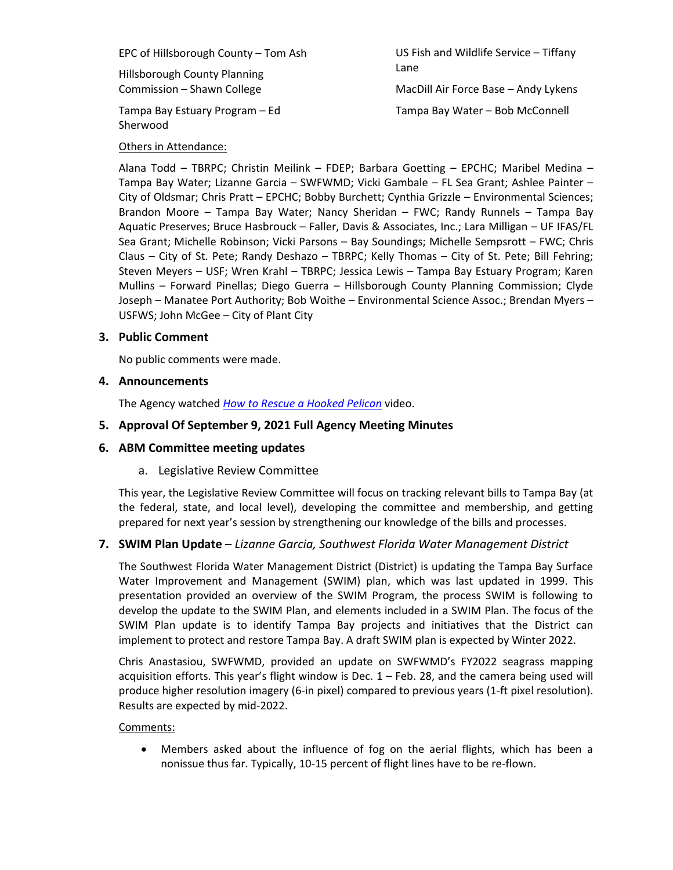EPC of Hillsborough County – Tom Ash

Hillsborough County Planning Commission – Shawn College

Tampa Bay Estuary Program – Ed Sherwood

Others in Attendance:

US Fish and Wildlife Service – Tiffany Lane MacDill Air Force Base – Andy Lykens Tampa Bay Water – Bob McConnell

Alana Todd – TBRPC; Christin Meilink – FDEP; Barbara Goetting – EPCHC; Maribel Medina – Tampa Bay Water; Lizanne Garcia – SWFWMD; Vicki Gambale – FL Sea Grant; Ashlee Painter – City of Oldsmar; Chris Pratt – EPCHC; Bobby Burchett; Cynthia Grizzle – Environmental Sciences; Brandon Moore – Tampa Bay Water; Nancy Sheridan – FWC; Randy Runnels – Tampa Bay Aquatic Preserves; Bruce Hasbrouck – Faller, Davis & Associates, Inc.; Lara Milligan – UF IFAS/FL Sea Grant; Michelle Robinson; Vicki Parsons – Bay Soundings; Michelle Sempsrott – FWC; Chris Claus – City of St. Pete; Randy Deshazo – TBRPC; Kelly Thomas – City of St. Pete; Bill Fehring; Steven Meyers – USF; Wren Krahl – TBRPC; Jessica Lewis – Tampa Bay Estuary Program; Karen Mullins – Forward Pinellas; Diego Guerra – Hillsborough County Planning Commission; Clyde Joseph – Manatee Port Authority; Bob Woithe – Environmental Science Assoc.; Brendan Myers – USFWS; John McGee – City of Plant City

# **3. Public Comment**

No public comments were made.

#### **4. Announcements**

The Agency watched *[How to Rescue a Hooked Pelican](https://www.youtube.com/watch?v=OzPz_wmt8i0)* video.

# **5. Approval Of September 9, 2021 Full Agency Meeting Minutes**

# **6. ABM Committee meeting updates**

# a. Legislative Review Committee

This year, the Legislative Review Committee will focus on tracking relevant bills to Tampa Bay (at the federal, state, and local level), developing the committee and membership, and getting prepared for next year's session by strengthening our knowledge of the bills and processes.

# **7. SWIM Plan Update** – *Lizanne Garcia, Southwest Florida Water Management District*

The Southwest Florida Water Management District (District) is updating the Tampa Bay Surface Water Improvement and Management (SWIM) plan, which was last updated in 1999. This presentation provided an overview of the SWIM Program, the process SWIM is following to develop the update to the SWIM Plan, and elements included in a SWIM Plan. The focus of the SWIM Plan update is to identify Tampa Bay projects and initiatives that the District can implement to protect and restore Tampa Bay. A draft SWIM plan is expected by Winter 2022.

Chris Anastasiou, SWFWMD, provided an update on SWFWMD's FY2022 seagrass mapping acquisition efforts. This year's flight window is Dec.  $1 -$  Feb. 28, and the camera being used will produce higher resolution imagery (6-in pixel) compared to previous years (1-ft pixel resolution). Results are expected by mid-2022.

#### Comments:

• Members asked about the influence of fog on the aerial flights, which has been a nonissue thus far. Typically, 10-15 percent of flight lines have to be re-flown.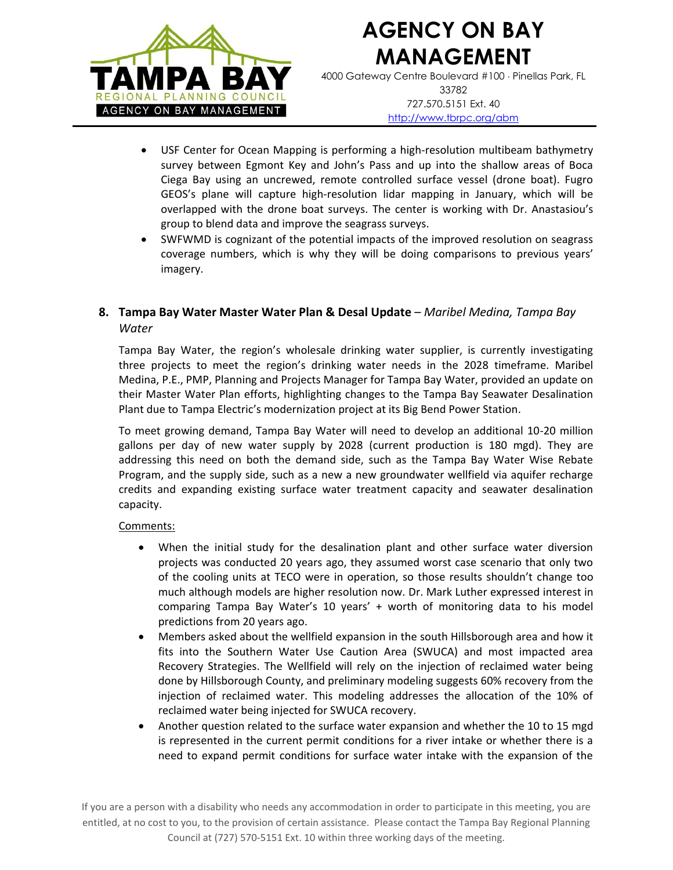

# **AGENCY ON BAY MANAGEMENT**

4000 Gateway Centre Boulevard #100 Pinellas Park, FL 33782 727.570.5151 Ext. 40 <http://www.tbrpc.org/abm>

- USF Center for Ocean Mapping is performing a high-resolution multibeam bathymetry survey between Egmont Key and John's Pass and up into the shallow areas of Boca Ciega Bay using an uncrewed, remote controlled surface vessel (drone boat). Fugro GEOS's plane will capture high-resolution lidar mapping in January, which will be overlapped with the drone boat surveys. The center is working with Dr. Anastasiou's group to blend data and improve the seagrass surveys.
- SWFWMD is cognizant of the potential impacts of the improved resolution on seagrass coverage numbers, which is why they will be doing comparisons to previous years' imagery.

# **8. Tampa Bay Water Master Water Plan & Desal Update** – *Maribel Medina, Tampa Bay Water*

Tampa Bay Water, the region's wholesale drinking water supplier, is currently investigating three projects to meet the region's drinking water needs in the 2028 timeframe. Maribel Medina, P.E., PMP, Planning and Projects Manager for Tampa Bay Water, provided an update on their Master Water Plan efforts, highlighting changes to the Tampa Bay Seawater Desalination Plant due to Tampa Electric's modernization project at its Big Bend Power Station.

To meet growing demand, Tampa Bay Water will need to develop an additional 10-20 million gallons per day of new water supply by 2028 (current production is 180 mgd). They are addressing this need on both the demand side, such as the Tampa Bay Water Wise Rebate Program, and the supply side, such as a new a new groundwater wellfield via aquifer recharge credits and expanding existing surface water treatment capacity and seawater desalination capacity.

# Comments:

- When the initial study for the desalination plant and other surface water diversion projects was conducted 20 years ago, they assumed worst case scenario that only two of the cooling units at TECO were in operation, so those results shouldn't change too much although models are higher resolution now. Dr. Mark Luther expressed interest in comparing Tampa Bay Water's 10 years' + worth of monitoring data to his model predictions from 20 years ago.
- Members asked about the wellfield expansion in the south Hillsborough area and how it fits into the Southern Water Use Caution Area (SWUCA) and most impacted area Recovery Strategies. The Wellfield will rely on the injection of reclaimed water being done by Hillsborough County, and preliminary modeling suggests 60% recovery from the injection of reclaimed water. This modeling addresses the allocation of the 10% of reclaimed water being injected for SWUCA recovery.
- Another question related to the surface water expansion and whether the 10 to 15 mgd is represented in the current permit conditions for a river intake or whether there is a need to expand permit conditions for surface water intake with the expansion of the

If you are a person with a disability who needs any accommodation in order to participate in this meeting, you are entitled, at no cost to you, to the provision of certain assistance. Please contact the Tampa Bay Regional Planning Council at (727) 570-5151 Ext. 10 within three working days of the meeting.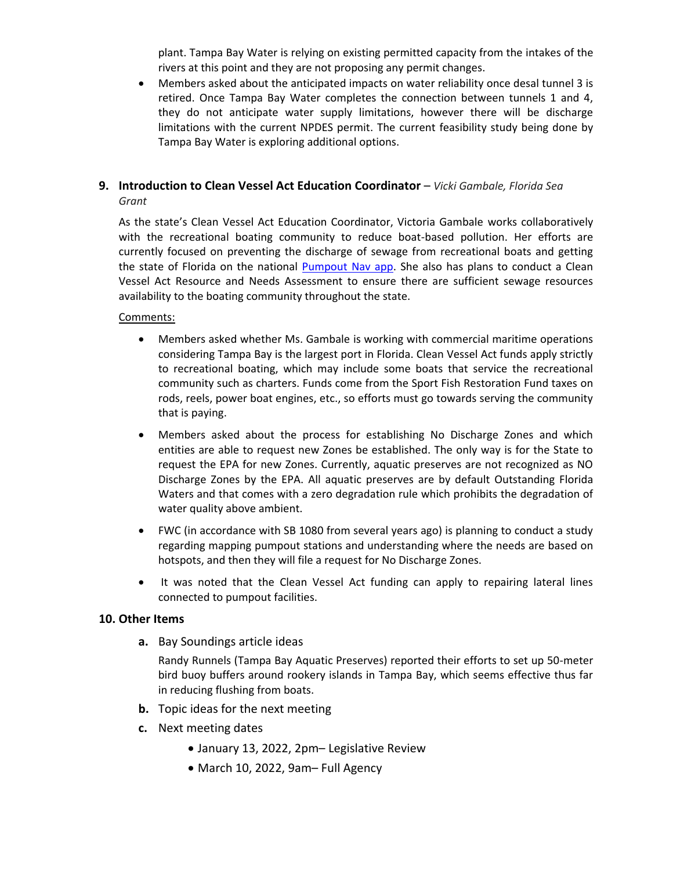plant. Tampa Bay Water is relying on existing permitted capacity from the intakes of the rivers at this point and they are not proposing any permit changes.

• Members asked about the anticipated impacts on water reliability once desal tunnel 3 is retired. Once Tampa Bay Water completes the connection between tunnels 1 and 4, they do not anticipate water supply limitations, however there will be discharge limitations with the current NPDES permit. The current feasibility study being done by Tampa Bay Water is exploring additional options.

#### **9. Introduction to Clean Vessel Act Education Coordinator** – *Vicki Gambale, Florida Sea Grant*

As the state's Clean Vessel Act Education Coordinator, Victoria Gambale works collaboratively with the recreational boating community to reduce boat-based pollution. Her efforts are currently focused on preventing the discharge of sewage from recreational boats and getting the state of Florida on the national [Pumpout Nav app.](https://flseagrant.ifas.ufl.edu/pumpoutnav/) She also has plans to conduct a Clean Vessel Act Resource and Needs Assessment to ensure there are sufficient sewage resources availability to the boating community throughout the state.

#### Comments:

- Members asked whether Ms. Gambale is working with commercial maritime operations considering Tampa Bay is the largest port in Florida. Clean Vessel Act funds apply strictly to recreational boating, which may include some boats that service the recreational community such as charters. Funds come from the Sport Fish Restoration Fund taxes on rods, reels, power boat engines, etc., so efforts must go towards serving the community that is paying.
- Members asked about the process for establishing No Discharge Zones and which entities are able to request new Zones be established. The only way is for the State to request the EPA for new Zones. Currently, aquatic preserves are not recognized as NO Discharge Zones by the EPA. All aquatic preserves are by default Outstanding Florida Waters and that comes with a zero degradation rule which prohibits the degradation of water quality above ambient.
- FWC (in accordance with SB 1080 from several years ago) is planning to conduct a study regarding mapping pumpout stations and understanding where the needs are based on hotspots, and then they will file a request for No Discharge Zones.
- It was noted that the Clean Vessel Act funding can apply to repairing lateral lines connected to pumpout facilities.

#### **10. Other Items**

**a.** Bay Soundings article ideas

Randy Runnels (Tampa Bay Aquatic Preserves) reported their efforts to set up 50-meter bird buoy buffers around rookery islands in Tampa Bay, which seems effective thus far in reducing flushing from boats.

- **b.** Topic ideas for the next meeting
- **c.** Next meeting dates
	- January 13, 2022, 2pm– Legislative Review
	- March 10, 2022, 9am– Full Agency